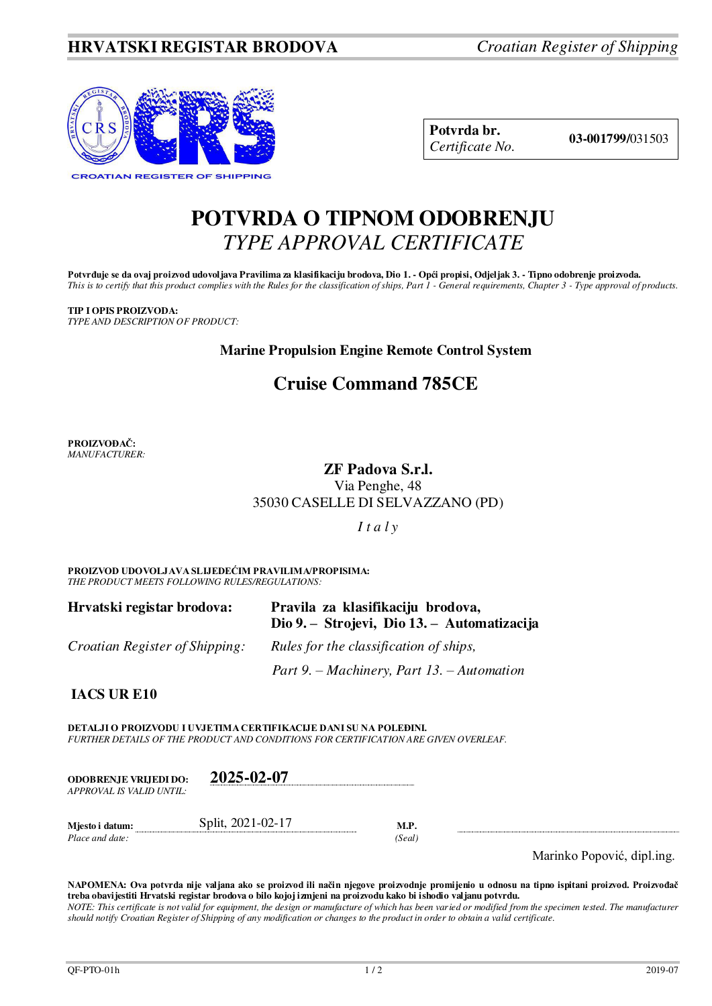

**Potvrda br. 03-001799/**031503 *Certificate No.* 

# **POTVRDA O TIPNOM ODOBRENJU**  *TYPE APPROVAL CERTIFICATE*

Potvrđuje se da ovaj proizvod udovoljava Pravilima za klasifikaciju brodova, Dio 1. - Opći propisi, Odjeljak 3. - Tipno odobrenje proizvoda. *This is to certify that this product complies with the Rules for the classification of ships, Part 1 - General requirements, Chapter 3 - Type approval of products.* 

## **TIP I OPIS PROIZVODA:**

*TYPE AND DESCRIPTION OF PRODUCT:*

# **Marine Propulsion Engine Remote Control System**

# **Cruise Command 785CE**

**PROIZVOĐAČ:** *MANUFACTURER:*

# **ZF Padova S.r.l.**

Via Penghe, 48 35030 CASELLE DI SELVAZZANO (PD)

*I t a l y*

**PROIZVOD UDOVOLJAVA SLIJEDEĆIM PRAVILIMA/PROPISIMA:** *THE PRODUCT MEETS FOLLOWING RULES/REGULATIONS:* 

| Hrvatski registar brodova:     | Pravila za klasifikaciju brodova,<br>Dio 9. – Strojevi, Dio 13. – Automatizacija |
|--------------------------------|----------------------------------------------------------------------------------|
| Croatian Register of Shipping: | Rules for the classification of ships,                                           |
|                                | Part 9. – Machinery, Part 13. – Automation                                       |

**IACS UR E10**

**DETALJI O PROIZVODU I UVJETIMA CERTIFIKACIJE DANI SU NA POLEĐINI.** *FURTHER DETAILS OF THE PRODUCT AND CONDITIONS FOR CERTIFICATION ARE GIVEN OVERLEAF.* 

| <b>ODOBRENJE VRLIEDI DO:</b> | 2025-02-07 |
|------------------------------|------------|
| APPROVAL IS VALID UNTIL:     |            |
|                              |            |

**Mjesto i datum:** Split, 2021-02-17 **M.P.**  *Place and date: (Seal)* 

Marinko Popović, dipl.ing.

**NAPOMENA: Ova potvrda nije valjana ako se proizvod ili način njegove proizvodnje promijenio u odnosu na tipno ispitani proizvod. Proizvođač treba obavijestiti Hrvatski registar brodova o bilo kojoj izmjeni na proizvodu kako bi ishodio valjanu potvrdu.**  *NOTE: This certificate is not valid for equipment, the design or manufacture of which has been varied or modified from the specimen tested. The manufacturer should notify Croatian Register of Shipping of any modification or changes to the product in order to obtain a valid certificate.*